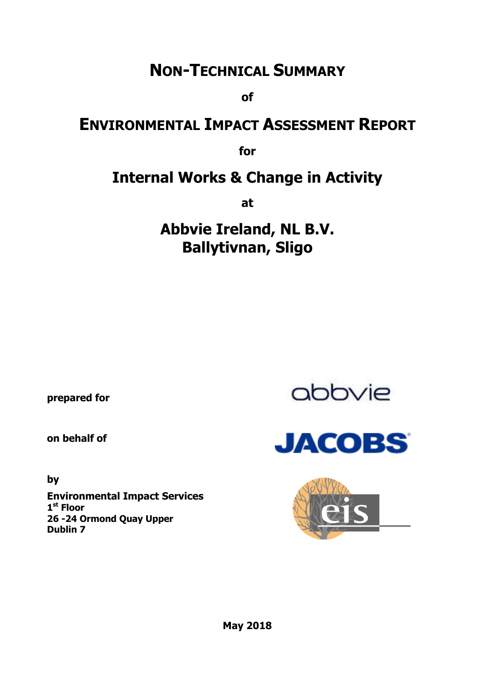# **NON-TECHNICAL SUMMARY**

**of**

# **ENVIRONMENTAL IMPACT ASSESSMENT REPORT**

**for**

# **Internal Works & Change in Activity**

**at**

# **Abbvie Ireland, NL B.V. Ballytivnan, Sligo**

**prepared for** 

**on behalf of**

**by**

**Environmental Impact Services 1 st Floor 26 -24 Ormond Quay Upper Dublin 7**





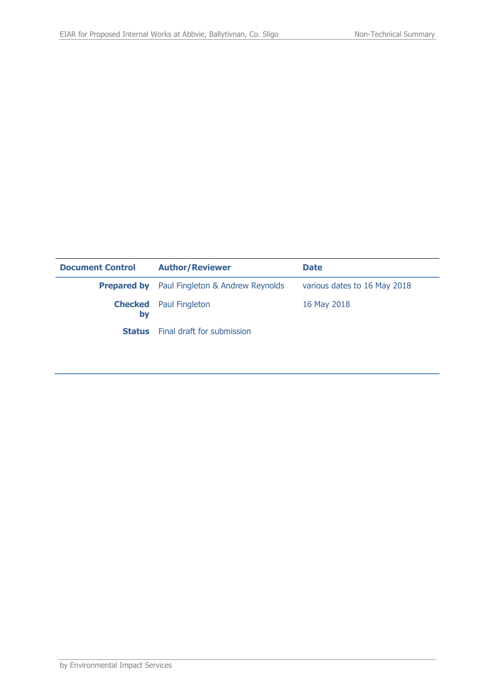| <b>Document Control</b> | <b>Author/Reviewer</b>                              | <b>Date</b>                  |
|-------------------------|-----------------------------------------------------|------------------------------|
|                         | <b>Prepared by</b> Paul Fingleton & Andrew Reynolds | various dates to 16 May 2018 |
| by                      | <b>Checked</b> Paul Fingleton                       | 16 May 2018                  |
|                         | <b>Status</b> Final draft for submission            |                              |
|                         |                                                     |                              |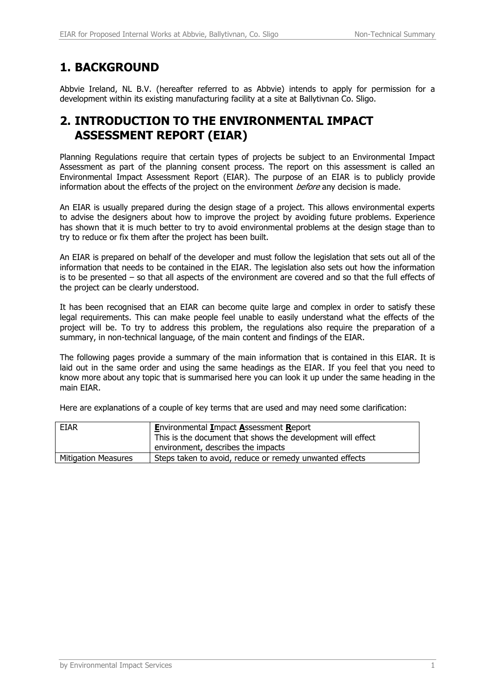## **1. BACKGROUND**

Abbvie Ireland, NL B.V. (hereafter referred to as Abbvie) intends to apply for permission for a development within its existing manufacturing facility at a site at Ballytivnan Co. Sligo.

#### **2. INTRODUCTION TO THE ENVIRONMENTAL IMPACT ASSESSMENT REPORT (EIAR)**

Planning Regulations require that certain types of projects be subject to an Environmental Impact Assessment as part of the planning consent process. The report on this assessment is called an Environmental Impact Assessment Report (EIAR). The purpose of an EIAR is to publicly provide information about the effects of the project on the environment *before* any decision is made.

An EIAR is usually prepared during the design stage of a project. This allows environmental experts to advise the designers about how to improve the project by avoiding future problems. Experience has shown that it is much better to try to avoid environmental problems at the design stage than to try to reduce or fix them after the project has been built.

An EIAR is prepared on behalf of the developer and must follow the legislation that sets out all of the information that needs to be contained in the EIAR. The legislation also sets out how the information is to be presented – so that all aspects of the environment are covered and so that the full effects of the project can be clearly understood.

It has been recognised that an EIAR can become quite large and complex in order to satisfy these legal requirements. This can make people feel unable to easily understand what the effects of the project will be. To try to address this problem, the regulations also require the preparation of a summary, in non-technical language, of the main content and findings of the EIAR.

The following pages provide a summary of the main information that is contained in this EIAR. It is laid out in the same order and using the same headings as the EIAR. If you feel that you need to know more about any topic that is summarised here you can look it up under the same heading in the main EIAR.

Here are explanations of a couple of key terms that are used and may need some clarification:

| <b>EIAR</b>                | <b>Environmental Impact Assessment Report</b><br>This is the document that shows the development will effect |  |
|----------------------------|--------------------------------------------------------------------------------------------------------------|--|
|                            | environment, describes the impacts                                                                           |  |
| <b>Mitigation Measures</b> | Steps taken to avoid, reduce or remedy unwanted effects                                                      |  |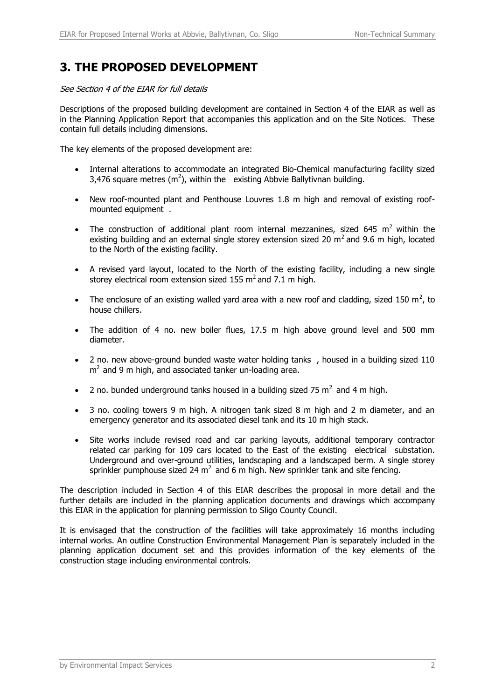## **3. THE PROPOSED DEVELOPMENT**

See Section 4 of the EIAR for full details

Descriptions of the proposed building development are contained in Section 4 of the EIAR as well as in the Planning Application Report that accompanies this application and on the Site Notices. These contain full details including dimensions.

The key elements of the proposed development are:

- Internal alterations to accommodate an integrated Bio-Chemical manufacturing facility sized 3,476 square metres  $(m^2)$ , within the existing Abbvie Ballytivnan building.
- New roof-mounted plant and Penthouse Louvres 1.8 m high and removal of existing roofmounted equipment .
- The construction of additional plant room internal mezzanines, sized 645 m<sup>2</sup> within the existing building and an external single storey extension sized 20  $m^2$  and 9.6 m high, located to the North of the existing facility.
- A revised yard layout, located to the North of the existing facility, including a new single storey electrical room extension sized 155  $m^2$  and 7.1 m high.
- The enclosure of an existing walled yard area with a new roof and cladding, sized 150 m<sup>2</sup>, to house chillers.
- The addition of 4 no. new boiler flues, 17.5 m high above ground level and 500 mm diameter.
- 2 no. new above-ground bunded waste water holding tanks, housed in a building sized 110  $m<sup>2</sup>$  and 9 m high, and associated tanker un-loading area.
- 2 no. bunded underground tanks housed in a building sized 75  $m^2$  and 4 m high.
- 3 no. cooling towers 9 m high. A nitrogen tank sized 8 m high and 2 m diameter, and an emergency generator and its associated diesel tank and its 10 m high stack.
- Site works include revised road and car parking layouts, additional temporary contractor related car parking for 109 cars located to the East of the existing electrical substation. Underground and over-ground utilities, landscaping and a landscaped berm. A single storey sprinkler pumphouse sized 24  $m^2$  and 6 m high. New sprinkler tank and site fencing.

The description included in Section 4 of this EIAR describes the proposal in more detail and the further details are included in the planning application documents and drawings which accompany this EIAR in the application for planning permission to Sligo County Council.

It is envisaged that the construction of the facilities will take approximately 16 months including internal works. An outline Construction Environmental Management Plan is separately included in the planning application document set and this provides information of the key elements of the construction stage including environmental controls.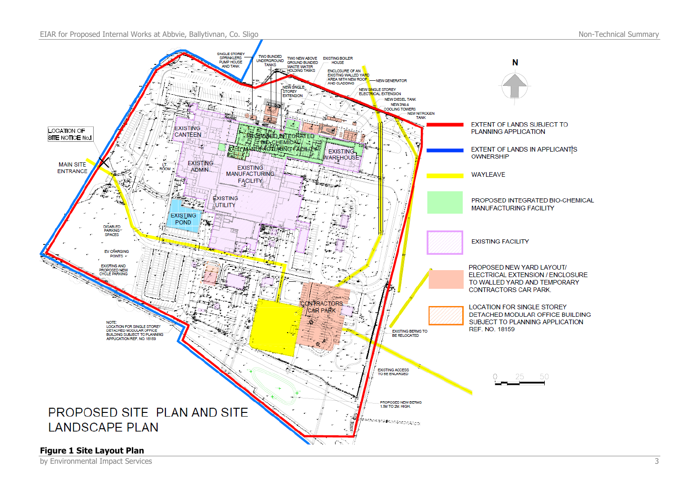EIAR for Proposed Internal Works at Abbvie, Ballytivnan, Co. Sligo Non-Technical Summary Non-Technical Summary



by Environmental Impact Services 3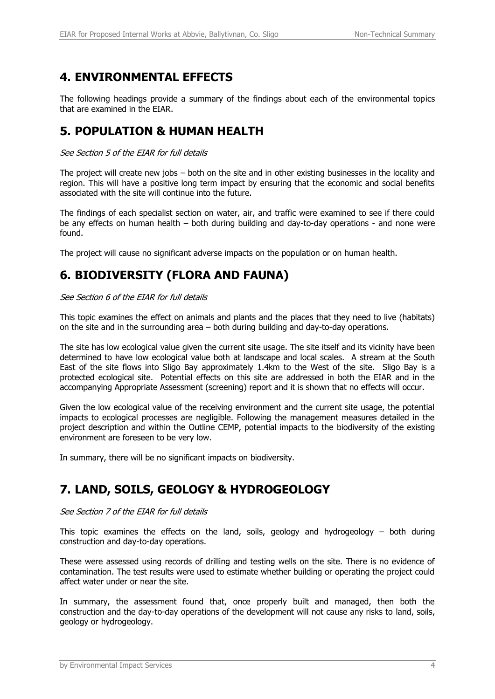# **4. ENVIRONMENTAL EFFECTS**

The following headings provide a summary of the findings about each of the environmental topics that are examined in the EIAR.

#### **5. POPULATION & HUMAN HEALTH**

See Section 5 of the EIAR for full details

The project will create new jobs – both on the site and in other existing businesses in the locality and region. This will have a positive long term impact by ensuring that the economic and social benefits associated with the site will continue into the future.

The findings of each specialist section on water, air, and traffic were examined to see if there could be any effects on human health – both during building and day-to-day operations - and none were found.

The project will cause no significant adverse impacts on the population or on human health.

## **6. BIODIVERSITY (FLORA AND FAUNA)**

See Section 6 of the EIAR for full details

This topic examines the effect on animals and plants and the places that they need to live (habitats) on the site and in the surrounding area – both during building and day-to-day operations.

The site has low ecological value given the current site usage. The site itself and its vicinity have been determined to have low ecological value both at landscape and local scales. A stream at the South East of the site flows into Sligo Bay approximately 1.4km to the West of the site. Sligo Bay is a protected ecological site. Potential effects on this site are addressed in both the EIAR and in the accompanying Appropriate Assessment (screening) report and it is shown that no effects will occur.

Given the low ecological value of the receiving environment and the current site usage, the potential impacts to ecological processes are negligible. Following the management measures detailed in the project description and within the Outline CEMP, potential impacts to the biodiversity of the existing environment are foreseen to be very low.

In summary, there will be no significant impacts on biodiversity.

## **7. LAND, SOILS, GEOLOGY & HYDROGEOLOGY**

#### See Section 7 of the EIAR for full details

This topic examines the effects on the land, soils, geology and hydrogeology  $-$  both during construction and day-to-day operations.

These were assessed using records of drilling and testing wells on the site. There is no evidence of contamination. The test results were used to estimate whether building or operating the project could affect water under or near the site.

In summary, the assessment found that, once properly built and managed, then both the construction and the day-to-day operations of the development will not cause any risks to land, soils, geology or hydrogeology.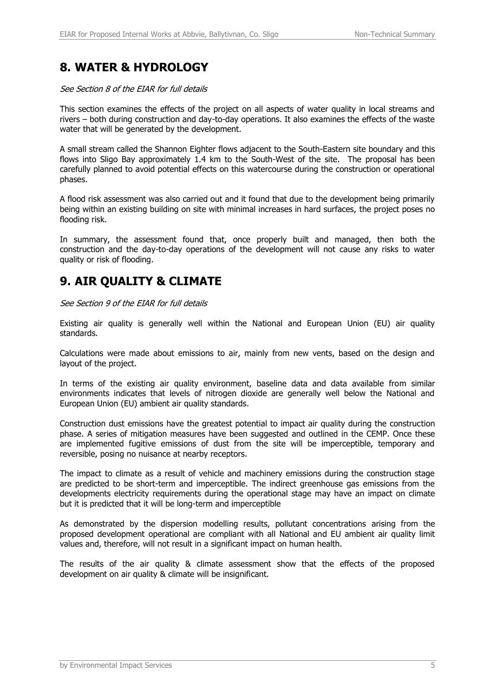## **8. WATER & HYDROLOGY**

#### See Section 8 of the EIAR for full details

This section examines the effects of the project on all aspects of water quality in local streams and rivers – both during construction and day-to-day operations. It also examines the effects of the waste water that will be generated by the development.

A small stream called the Shannon Eighter flows adjacent to the South-Eastern site boundary and this flows into Sligo Bay approximately 1.4 km to the South-West of the site. The proposal has been carefully planned to avoid potential effects on this watercourse during the construction or operational phases.

A flood risk assessment was also carried out and it found that due to the development being primarily being within an existing building on site with minimal increases in hard surfaces, the project poses no flooding risk.

In summary, the assessment found that, once properly built and managed, then both the construction and the day-to-day operations of the development will not cause any risks to water quality or risk of flooding.

#### **9. AIR QUALITY & CLIMATE**

See Section 9 of the EIAR for full details

Existing air quality is generally well within the National and European Union (EU) air quality standards.

Calculations were made about emissions to air, mainly from new vents, based on the design and layout of the project.

In terms of the existing air quality environment, baseline data and data available from similar environments indicates that levels of nitrogen dioxide are generally well below the National and European Union (EU) ambient air quality standards.

Construction dust emissions have the greatest potential to impact air quality during the construction phase. A series of mitigation measures have been suggested and outlined in the CEMP. Once these are implemented fugitive emissions of dust from the site will be imperceptible, temporary and reversible, posing no nuisance at nearby receptors.

The impact to climate as a result of vehicle and machinery emissions during the construction stage are predicted to be short-term and imperceptible. The indirect greenhouse gas emissions from the developments electricity requirements during the operational stage may have an impact on climate but it is predicted that it will be long-term and imperceptible

As demonstrated by the dispersion modelling results, pollutant concentrations arising from the proposed development operational are compliant with all National and EU ambient air quality limit values and, therefore, will not result in a significant impact on human health.

The results of the air quality & climate assessment show that the effects of the proposed development on air quality & climate will be insignificant.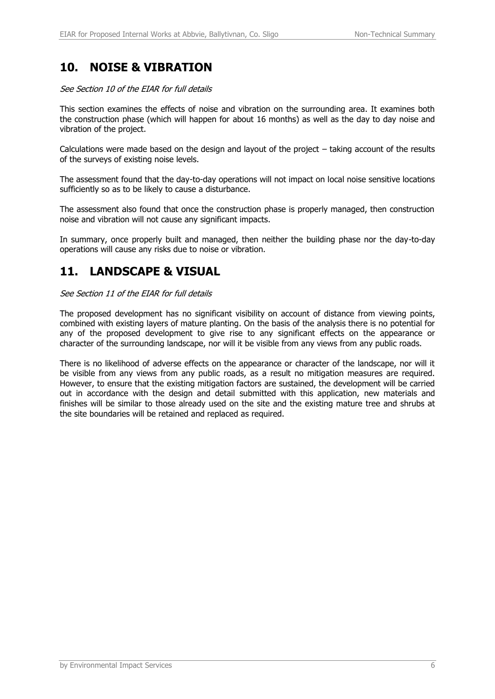#### **10. NOISE & VIBRATION**

See Section 10 of the EIAR for full details

This section examines the effects of noise and vibration on the surrounding area. It examines both the construction phase (which will happen for about 16 months) as well as the day to day noise and vibration of the project.

Calculations were made based on the design and layout of the project – taking account of the results of the surveys of existing noise levels.

The assessment found that the day-to-day operations will not impact on local noise sensitive locations sufficiently so as to be likely to cause a disturbance.

The assessment also found that once the construction phase is properly managed, then construction noise and vibration will not cause any significant impacts.

In summary, once properly built and managed, then neither the building phase nor the day-to-day operations will cause any risks due to noise or vibration.

#### **11. LANDSCAPE & VISUAL**

See Section 11 of the EIAR for full details

The proposed development has no significant visibility on account of distance from viewing points, combined with existing layers of mature planting. On the basis of the analysis there is no potential for any of the proposed development to give rise to any significant effects on the appearance or character of the surrounding landscape, nor will it be visible from any views from any public roads.

There is no likelihood of adverse effects on the appearance or character of the landscape, nor will it be visible from any views from any public roads, as a result no mitigation measures are required. However, to ensure that the existing mitigation factors are sustained, the development will be carried out in accordance with the design and detail submitted with this application, new materials and finishes will be similar to those already used on the site and the existing mature tree and shrubs at the site boundaries will be retained and replaced as required.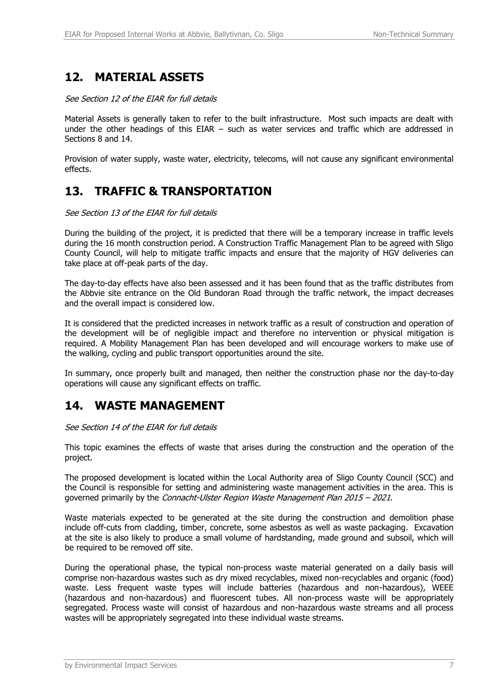## **12. MATERIAL ASSETS**

See Section 12 of the EIAR for full details

Material Assets is generally taken to refer to the built infrastructure. Most such impacts are dealt with under the other headings of this EIAR – such as water services and traffic which are addressed in Sections 8 and 14.

Provision of water supply, waste water, electricity, telecoms, will not cause any significant environmental effects.

#### **13. TRAFFIC & TRANSPORTATION**

See Section 13 of the EIAR for full details

During the building of the project, it is predicted that there will be a temporary increase in traffic levels during the 16 month construction period. A Construction Traffic Management Plan to be agreed with Sligo County Council, will help to mitigate traffic impacts and ensure that the majority of HGV deliveries can take place at off-peak parts of the day.

The day-to-day effects have also been assessed and it has been found that as the traffic distributes from the Abbvie site entrance on the Old Bundoran Road through the traffic network, the impact decreases and the overall impact is considered low.

It is considered that the predicted increases in network traffic as a result of construction and operation of the development will be of negligible impact and therefore no intervention or physical mitigation is required. A Mobility Management Plan has been developed and will encourage workers to make use of the walking, cycling and public transport opportunities around the site.

In summary, once properly built and managed, then neither the construction phase nor the day-to-day operations will cause any significant effects on traffic.

#### **14. WASTE MANAGEMENT**

See Section 14 of the EIAR for full details

This topic examines the effects of waste that arises during the construction and the operation of the project.

The proposed development is located within the Local Authority area of Sligo County Council (SCC) and the Council is responsible for setting and administering waste management activities in the area. This is governed primarily by the Connacht-Ulster Region Waste Management Plan 2015 – 2021.

Waste materials expected to be generated at the site during the construction and demolition phase include off-cuts from cladding, timber, concrete, some asbestos as well as waste packaging. Excavation at the site is also likely to produce a small volume of hardstanding, made ground and subsoil, which will be required to be removed off site.

During the operational phase, the typical non-process waste material generated on a daily basis will comprise non-hazardous wastes such as dry mixed recyclables, mixed non-recyclables and organic (food) waste. Less frequent waste types will include batteries (hazardous and non-hazardous), WEEE (hazardous and non-hazardous) and fluorescent tubes. All non-process waste will be appropriately segregated. Process waste will consist of hazardous and non-hazardous waste streams and all process wastes will be appropriately segregated into these individual waste streams.